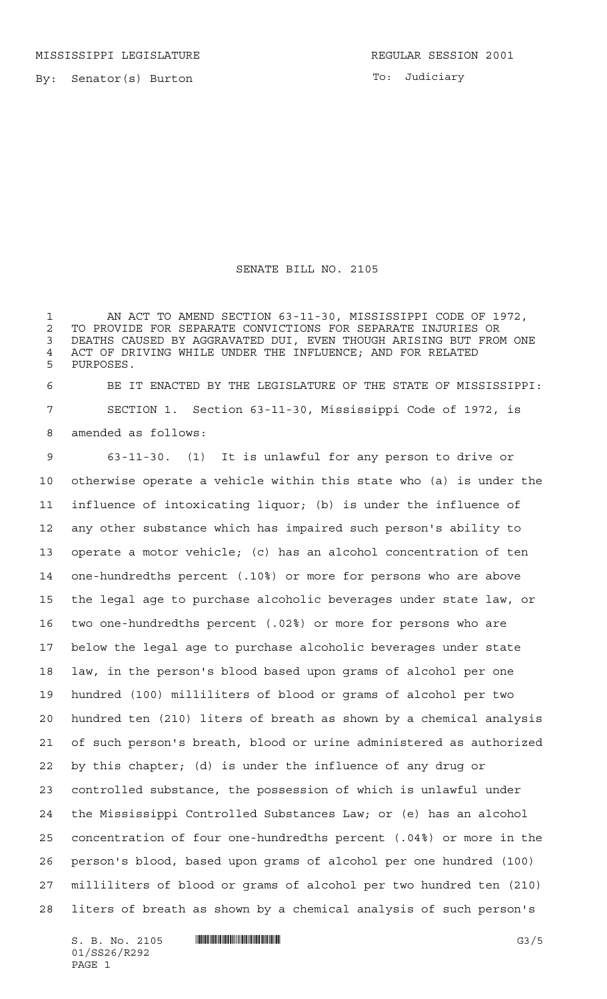MISSISSIPPI LEGISLATURE **REGULAR SESSION 2001** 

By: Senator(s) Burton

To: Judiciary

## SENATE BILL NO. 2105

 AN ACT TO AMEND SECTION 63-11-30, MISSISSIPPI CODE OF 1972, 2 TO PROVIDE FOR SEPARATE CONVICTIONS FOR SEPARATE INJURIES OR<br>3 DEATHS CAUSED BY AGGRAVATED DUI, EVEN THOUGH ARISING BUT FROI DEATHS CAUSED BY AGGRAVATED DUI, EVEN THOUGH ARISING BUT FROM ONE 4 ACT OF DRIVING WHILE UNDER THE INFLUENCE; AND FOR RELATED<br>5 PHRPOSES PURPOSES.

 BE IT ENACTED BY THE LEGISLATURE OF THE STATE OF MISSISSIPPI: SECTION 1. Section 63-11-30, Mississippi Code of 1972, is amended as follows:

 63-11-30. (1) It is unlawful for any person to drive or otherwise operate a vehicle within this state who (a) is under the influence of intoxicating liquor; (b) is under the influence of any other substance which has impaired such person's ability to operate a motor vehicle; (c) has an alcohol concentration of ten one-hundredths percent (.10%) or more for persons who are above the legal age to purchase alcoholic beverages under state law, or two one-hundredths percent (.02%) or more for persons who are below the legal age to purchase alcoholic beverages under state law, in the person's blood based upon grams of alcohol per one hundred (100) milliliters of blood or grams of alcohol per two hundred ten (210) liters of breath as shown by a chemical analysis of such person's breath, blood or urine administered as authorized by this chapter; (d) is under the influence of any drug or controlled substance, the possession of which is unlawful under the Mississippi Controlled Substances Law; or (e) has an alcohol concentration of four one-hundredths percent (.04%) or more in the person's blood, based upon grams of alcohol per one hundred (100) milliliters of blood or grams of alcohol per two hundred ten (210) liters of breath as shown by a chemical analysis of such person's

 $S. B. No. 2105$   $\blacksquare$   $\blacksquare$   $\blacksquare$   $\blacksquare$   $\blacksquare$   $\blacksquare$   $\blacksquare$   $\blacksquare$   $\blacksquare$   $\blacksquare$   $\blacksquare$   $\blacksquare$   $\blacksquare$   $\blacksquare$   $\blacksquare$   $\blacksquare$   $\blacksquare$   $\blacksquare$   $\blacksquare$   $\blacksquare$   $\blacksquare$   $\blacksquare$   $\blacksquare$   $\blacksquare$   $\blacksquare$   $\blacksquare$   $\blacksquare$   $\blacksquare$   $\blacksquare$   $\blacks$ 01/SS26/R292 PAGE 1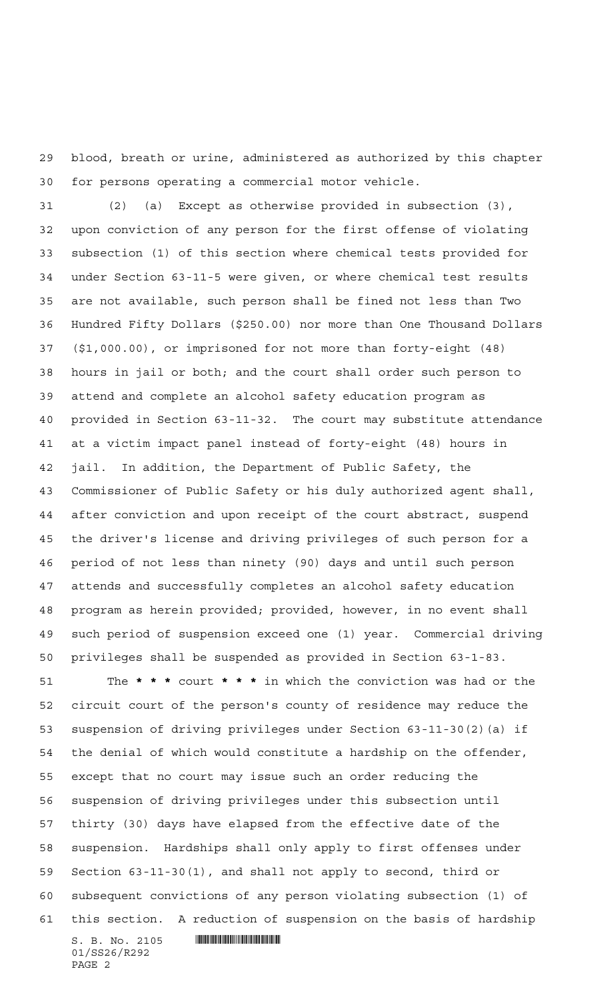blood, breath or urine, administered as authorized by this chapter for persons operating a commercial motor vehicle.

 (2) (a) Except as otherwise provided in subsection (3), upon conviction of any person for the first offense of violating subsection (1) of this section where chemical tests provided for under Section 63-11-5 were given, or where chemical test results are not available, such person shall be fined not less than Two Hundred Fifty Dollars (\$250.00) nor more than One Thousand Dollars (\$1,000.00), or imprisoned for not more than forty-eight (48) hours in jail or both; and the court shall order such person to attend and complete an alcohol safety education program as provided in Section 63-11-32. The court may substitute attendance at a victim impact panel instead of forty-eight (48) hours in jail. In addition, the Department of Public Safety, the Commissioner of Public Safety or his duly authorized agent shall, after conviction and upon receipt of the court abstract, suspend the driver's license and driving privileges of such person for a period of not less than ninety (90) days and until such person attends and successfully completes an alcohol safety education program as herein provided; provided, however, in no event shall such period of suspension exceed one (1) year. Commercial driving privileges shall be suspended as provided in Section 63-1-83. The **\*\*\*** court **\*\*\*** in which the conviction was had or the circuit court of the person's county of residence may reduce the suspension of driving privileges under Section 63-11-30(2)(a) if the denial of which would constitute a hardship on the offender,

except that no court may issue such an order reducing the

suspension of driving privileges under this subsection until

thirty (30) days have elapsed from the effective date of the

 suspension. Hardships shall only apply to first offenses under Section 63-11-30(1), and shall not apply to second, third or

subsequent convictions of any person violating subsection (1) of

 $S.$  B. No. 2105  $\blacksquare$ this section. A reduction of suspension on the basis of hardship

01/SS26/R292 PAGE 2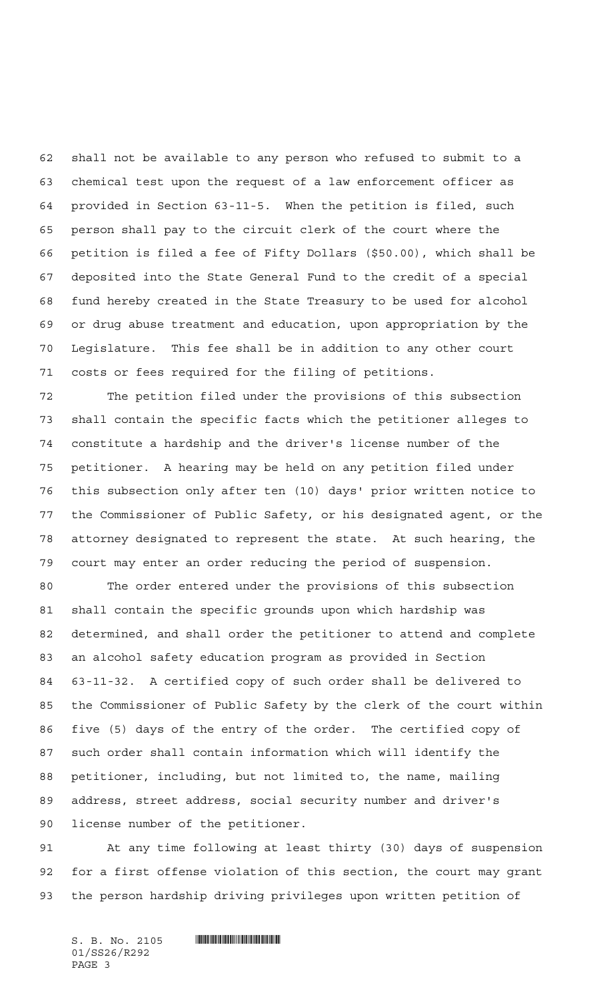shall not be available to any person who refused to submit to a chemical test upon the request of a law enforcement officer as provided in Section 63-11-5. When the petition is filed, such person shall pay to the circuit clerk of the court where the petition is filed a fee of Fifty Dollars (\$50.00), which shall be deposited into the State General Fund to the credit of a special fund hereby created in the State Treasury to be used for alcohol or drug abuse treatment and education, upon appropriation by the Legislature. This fee shall be in addition to any other court costs or fees required for the filing of petitions.

 The petition filed under the provisions of this subsection shall contain the specific facts which the petitioner alleges to constitute a hardship and the driver's license number of the petitioner. A hearing may be held on any petition filed under this subsection only after ten (10) days' prior written notice to the Commissioner of Public Safety, or his designated agent, or the attorney designated to represent the state. At such hearing, the court may enter an order reducing the period of suspension.

 The order entered under the provisions of this subsection shall contain the specific grounds upon which hardship was determined, and shall order the petitioner to attend and complete an alcohol safety education program as provided in Section 63-11-32. A certified copy of such order shall be delivered to the Commissioner of Public Safety by the clerk of the court within five (5) days of the entry of the order. The certified copy of such order shall contain information which will identify the petitioner, including, but not limited to, the name, mailing address, street address, social security number and driver's license number of the petitioner.

 At any time following at least thirty (30) days of suspension for a first offense violation of this section, the court may grant the person hardship driving privileges upon written petition of

 $S.$  B. No. 2105  $\blacksquare$ 01/SS26/R292 PAGE 3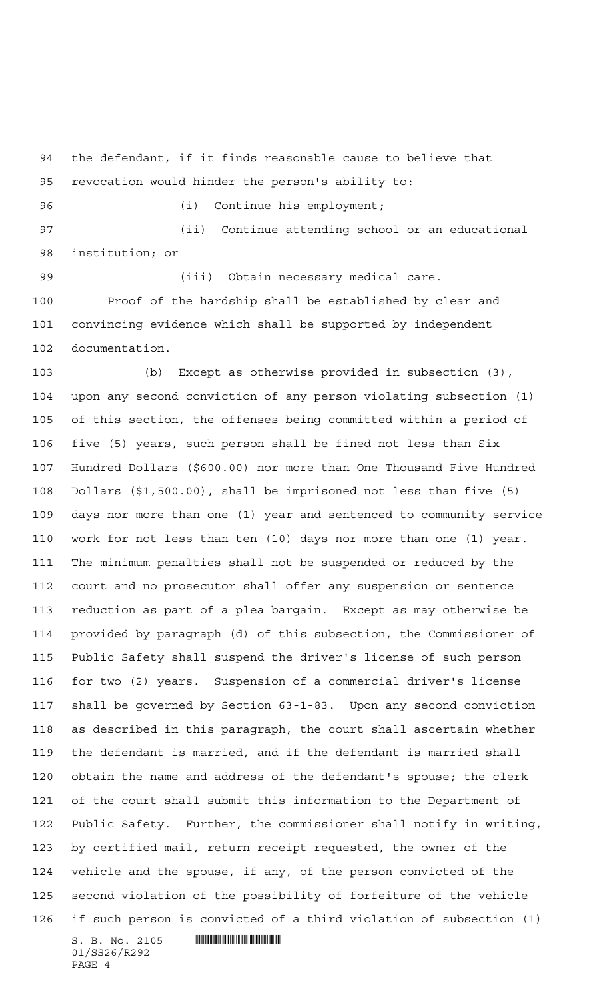the defendant, if it finds reasonable cause to believe that revocation would hinder the person's ability to:

(i) Continue his employment;

 (ii) Continue attending school or an educational institution; or

99 (iii) Obtain necessary medical care. Proof of the hardship shall be established by clear and convincing evidence which shall be supported by independent documentation.

 (b) Except as otherwise provided in subsection (3), upon any second conviction of any person violating subsection (1) of this section, the offenses being committed within a period of five (5) years, such person shall be fined not less than Six Hundred Dollars (\$600.00) nor more than One Thousand Five Hundred Dollars (\$1,500.00), shall be imprisoned not less than five (5) days nor more than one (1) year and sentenced to community service work for not less than ten (10) days nor more than one (1) year. The minimum penalties shall not be suspended or reduced by the court and no prosecutor shall offer any suspension or sentence reduction as part of a plea bargain. Except as may otherwise be provided by paragraph (d) of this subsection, the Commissioner of Public Safety shall suspend the driver's license of such person for two (2) years. Suspension of a commercial driver's license shall be governed by Section 63-1-83. Upon any second conviction as described in this paragraph, the court shall ascertain whether the defendant is married, and if the defendant is married shall obtain the name and address of the defendant's spouse; the clerk of the court shall submit this information to the Department of Public Safety. Further, the commissioner shall notify in writing, by certified mail, return receipt requested, the owner of the vehicle and the spouse, if any, of the person convicted of the second violation of the possibility of forfeiture of the vehicle if such person is convicted of a third violation of subsection (1)

 $S. B. No. 2105$  . The set of the set of  $\sim$  set of  $S. B. No. 2105$ 01/SS26/R292 PAGE 4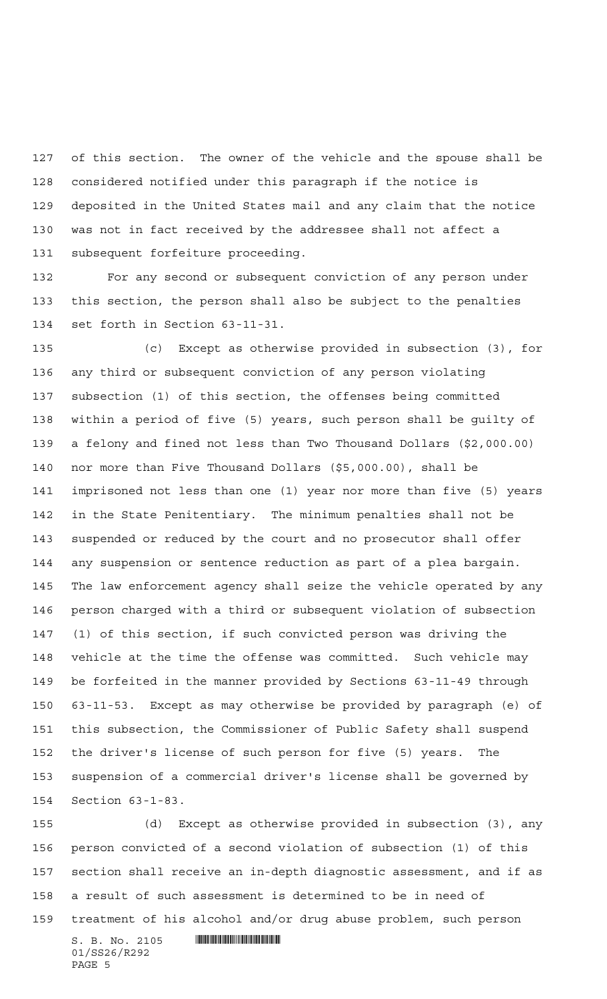of this section. The owner of the vehicle and the spouse shall be considered notified under this paragraph if the notice is deposited in the United States mail and any claim that the notice was not in fact received by the addressee shall not affect a subsequent forfeiture proceeding.

 For any second or subsequent conviction of any person under this section, the person shall also be subject to the penalties set forth in Section 63-11-31.

 (c) Except as otherwise provided in subsection (3), for any third or subsequent conviction of any person violating subsection (1) of this section, the offenses being committed within a period of five (5) years, such person shall be guilty of a felony and fined not less than Two Thousand Dollars (\$2,000.00) nor more than Five Thousand Dollars (\$5,000.00), shall be imprisoned not less than one (1) year nor more than five (5) years in the State Penitentiary. The minimum penalties shall not be suspended or reduced by the court and no prosecutor shall offer any suspension or sentence reduction as part of a plea bargain. The law enforcement agency shall seize the vehicle operated by any person charged with a third or subsequent violation of subsection (1) of this section, if such convicted person was driving the vehicle at the time the offense was committed. Such vehicle may be forfeited in the manner provided by Sections 63-11-49 through 63-11-53. Except as may otherwise be provided by paragraph (e) of this subsection, the Commissioner of Public Safety shall suspend the driver's license of such person for five (5) years. The suspension of a commercial driver's license shall be governed by Section 63-1-83.

 (d) Except as otherwise provided in subsection (3), any person convicted of a second violation of subsection (1) of this section shall receive an in-depth diagnostic assessment, and if as a result of such assessment is determined to be in need of treatment of his alcohol and/or drug abuse problem, such person

 $S. B. No. 2105$  . The set of the set of  $S. B. N_O$ 01/SS26/R292 PAGE 5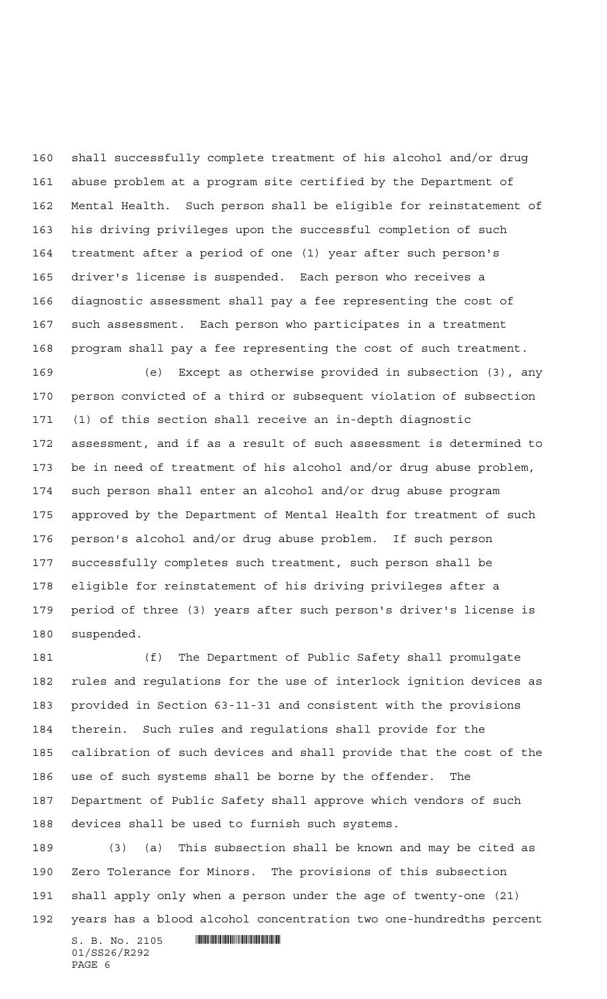shall successfully complete treatment of his alcohol and/or drug abuse problem at a program site certified by the Department of Mental Health. Such person shall be eligible for reinstatement of his driving privileges upon the successful completion of such treatment after a period of one (1) year after such person's driver's license is suspended. Each person who receives a diagnostic assessment shall pay a fee representing the cost of such assessment. Each person who participates in a treatment program shall pay a fee representing the cost of such treatment.

 (e) Except as otherwise provided in subsection (3), any person convicted of a third or subsequent violation of subsection (1) of this section shall receive an in-depth diagnostic assessment, and if as a result of such assessment is determined to be in need of treatment of his alcohol and/or drug abuse problem, such person shall enter an alcohol and/or drug abuse program approved by the Department of Mental Health for treatment of such person's alcohol and/or drug abuse problem. If such person successfully completes such treatment, such person shall be eligible for reinstatement of his driving privileges after a period of three (3) years after such person's driver's license is suspended.

 (f) The Department of Public Safety shall promulgate rules and regulations for the use of interlock ignition devices as provided in Section 63-11-31 and consistent with the provisions therein. Such rules and regulations shall provide for the calibration of such devices and shall provide that the cost of the use of such systems shall be borne by the offender. The Department of Public Safety shall approve which vendors of such devices shall be used to furnish such systems.

 (3) (a) This subsection shall be known and may be cited as Zero Tolerance for Minors. The provisions of this subsection shall apply only when a person under the age of twenty-one (21) years has a blood alcohol concentration two one-hundredths percent

 $S. B. No. 2105$  . We say the set of  $S. B. N_O. 2105$ 01/SS26/R292 PAGE 6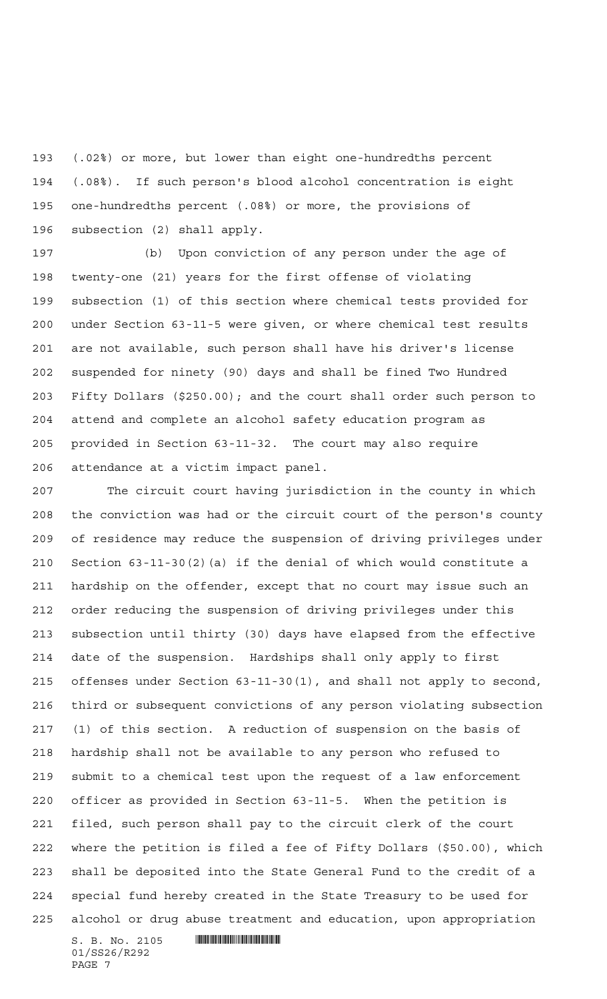(.02%) or more, but lower than eight one-hundredths percent (.08%). If such person's blood alcohol concentration is eight one-hundredths percent (.08%) or more, the provisions of subsection (2) shall apply.

 (b) Upon conviction of any person under the age of twenty-one (21) years for the first offense of violating subsection (1) of this section where chemical tests provided for under Section 63-11-5 were given, or where chemical test results are not available, such person shall have his driver's license suspended for ninety (90) days and shall be fined Two Hundred Fifty Dollars (\$250.00); and the court shall order such person to attend and complete an alcohol safety education program as provided in Section 63-11-32. The court may also require attendance at a victim impact panel.

 The circuit court having jurisdiction in the county in which the conviction was had or the circuit court of the person's county of residence may reduce the suspension of driving privileges under Section 63-11-30(2)(a) if the denial of which would constitute a hardship on the offender, except that no court may issue such an order reducing the suspension of driving privileges under this subsection until thirty (30) days have elapsed from the effective date of the suspension. Hardships shall only apply to first offenses under Section 63-11-30(1), and shall not apply to second, third or subsequent convictions of any person violating subsection (1) of this section. A reduction of suspension on the basis of hardship shall not be available to any person who refused to submit to a chemical test upon the request of a law enforcement officer as provided in Section 63-11-5. When the petition is filed, such person shall pay to the circuit clerk of the court where the petition is filed a fee of Fifty Dollars (\$50.00), which shall be deposited into the State General Fund to the credit of a special fund hereby created in the State Treasury to be used for alcohol or drug abuse treatment and education, upon appropriation

 $S. B. No. 2105$  . The set of the set of  $S. B. N_O$ 01/SS26/R292 PAGE 7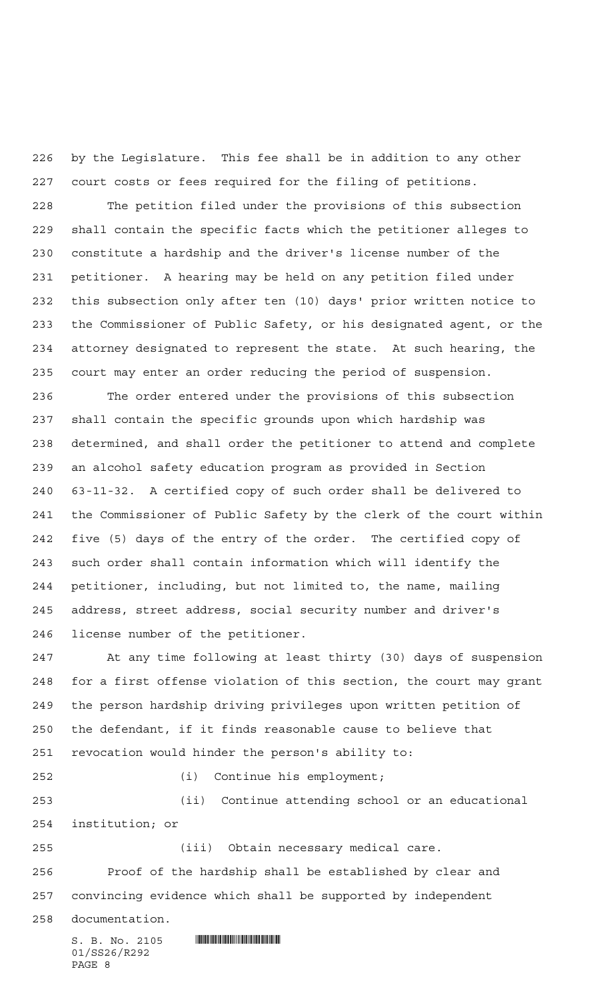by the Legislature. This fee shall be in addition to any other court costs or fees required for the filing of petitions.

 The petition filed under the provisions of this subsection shall contain the specific facts which the petitioner alleges to constitute a hardship and the driver's license number of the petitioner. A hearing may be held on any petition filed under this subsection only after ten (10) days' prior written notice to the Commissioner of Public Safety, or his designated agent, or the attorney designated to represent the state. At such hearing, the court may enter an order reducing the period of suspension.

 The order entered under the provisions of this subsection shall contain the specific grounds upon which hardship was determined, and shall order the petitioner to attend and complete an alcohol safety education program as provided in Section 63-11-32. A certified copy of such order shall be delivered to the Commissioner of Public Safety by the clerk of the court within five (5) days of the entry of the order. The certified copy of such order shall contain information which will identify the petitioner, including, but not limited to, the name, mailing address, street address, social security number and driver's license number of the petitioner.

 At any time following at least thirty (30) days of suspension for a first offense violation of this section, the court may grant the person hardship driving privileges upon written petition of the defendant, if it finds reasonable cause to believe that revocation would hinder the person's ability to:

(i) Continue his employment;

 (ii) Continue attending school or an educational institution; or

 (iii) Obtain necessary medical care. Proof of the hardship shall be established by clear and convincing evidence which shall be supported by independent

documentation.

 $S. B. No. 2105$  . We say the set of  $S. B. N_O. 2105$ 01/SS26/R292 PAGE 8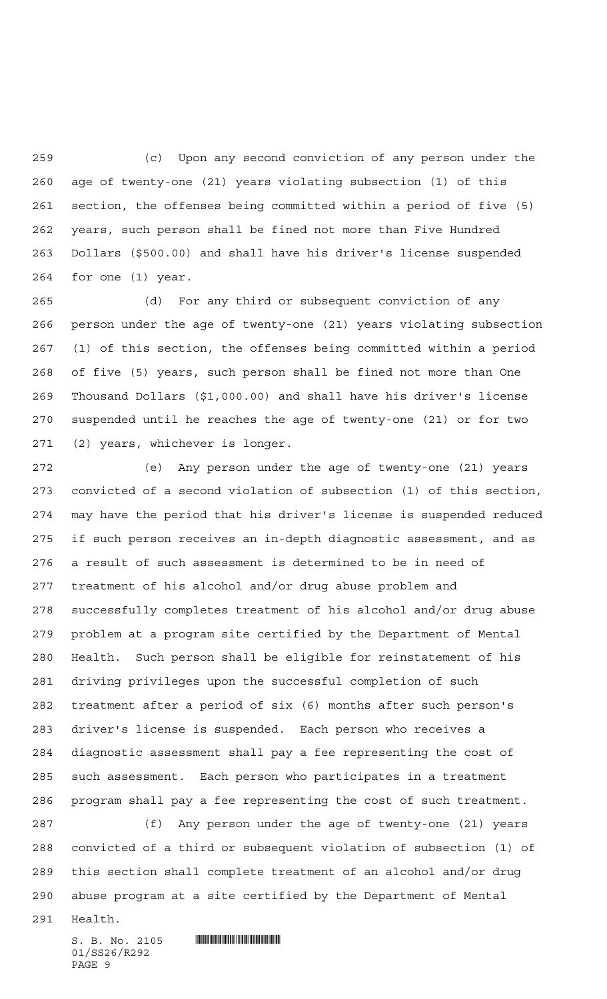(c) Upon any second conviction of any person under the age of twenty-one (21) years violating subsection (1) of this section, the offenses being committed within a period of five (5) years, such person shall be fined not more than Five Hundred Dollars (\$500.00) and shall have his driver's license suspended for one (1) year.

 (d) For any third or subsequent conviction of any person under the age of twenty-one (21) years violating subsection (1) of this section, the offenses being committed within a period of five (5) years, such person shall be fined not more than One Thousand Dollars (\$1,000.00) and shall have his driver's license suspended until he reaches the age of twenty-one (21) or for two (2) years, whichever is longer.

 (e) Any person under the age of twenty-one (21) years convicted of a second violation of subsection (1) of this section, may have the period that his driver's license is suspended reduced if such person receives an in-depth diagnostic assessment, and as a result of such assessment is determined to be in need of treatment of his alcohol and/or drug abuse problem and successfully completes treatment of his alcohol and/or drug abuse problem at a program site certified by the Department of Mental Health. Such person shall be eligible for reinstatement of his driving privileges upon the successful completion of such treatment after a period of six (6) months after such person's driver's license is suspended. Each person who receives a diagnostic assessment shall pay a fee representing the cost of such assessment. Each person who participates in a treatment program shall pay a fee representing the cost of such treatment.

 (f) Any person under the age of twenty-one (21) years convicted of a third or subsequent violation of subsection (1) of this section shall complete treatment of an alcohol and/or drug abuse program at a site certified by the Department of Mental

Health.

 $S. B. No. 2105$  . We say the set of  $S. B. N_O. 2105$ 01/SS26/R292 PAGE 9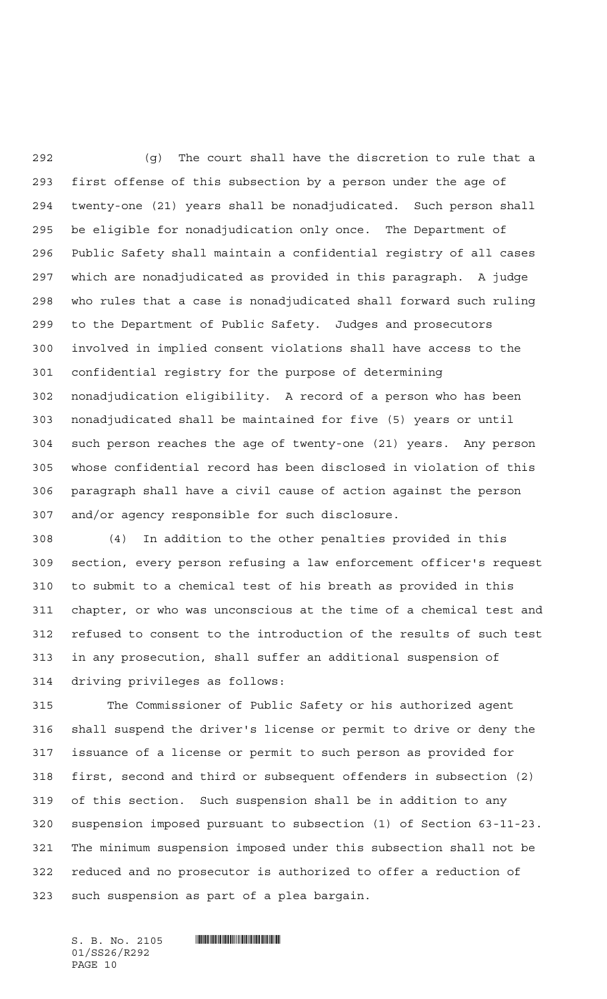(g) The court shall have the discretion to rule that a first offense of this subsection by a person under the age of twenty-one (21) years shall be nonadjudicated. Such person shall be eligible for nonadjudication only once. The Department of Public Safety shall maintain a confidential registry of all cases which are nonadjudicated as provided in this paragraph. A judge who rules that a case is nonadjudicated shall forward such ruling to the Department of Public Safety. Judges and prosecutors involved in implied consent violations shall have access to the confidential registry for the purpose of determining nonadjudication eligibility. A record of a person who has been nonadjudicated shall be maintained for five (5) years or until such person reaches the age of twenty-one (21) years. Any person whose confidential record has been disclosed in violation of this paragraph shall have a civil cause of action against the person and/or agency responsible for such disclosure.

 (4) In addition to the other penalties provided in this section, every person refusing a law enforcement officer's request to submit to a chemical test of his breath as provided in this chapter, or who was unconscious at the time of a chemical test and refused to consent to the introduction of the results of such test in any prosecution, shall suffer an additional suspension of driving privileges as follows:

 The Commissioner of Public Safety or his authorized agent shall suspend the driver's license or permit to drive or deny the issuance of a license or permit to such person as provided for first, second and third or subsequent offenders in subsection (2) of this section. Such suspension shall be in addition to any suspension imposed pursuant to subsection (1) of Section 63-11-23. The minimum suspension imposed under this subsection shall not be reduced and no prosecutor is authorized to offer a reduction of such suspension as part of a plea bargain.

01/SS26/R292 PAGE 10

 $S. B. No. 2105$  . Suppose the set of  $S. B. N_O. 2105$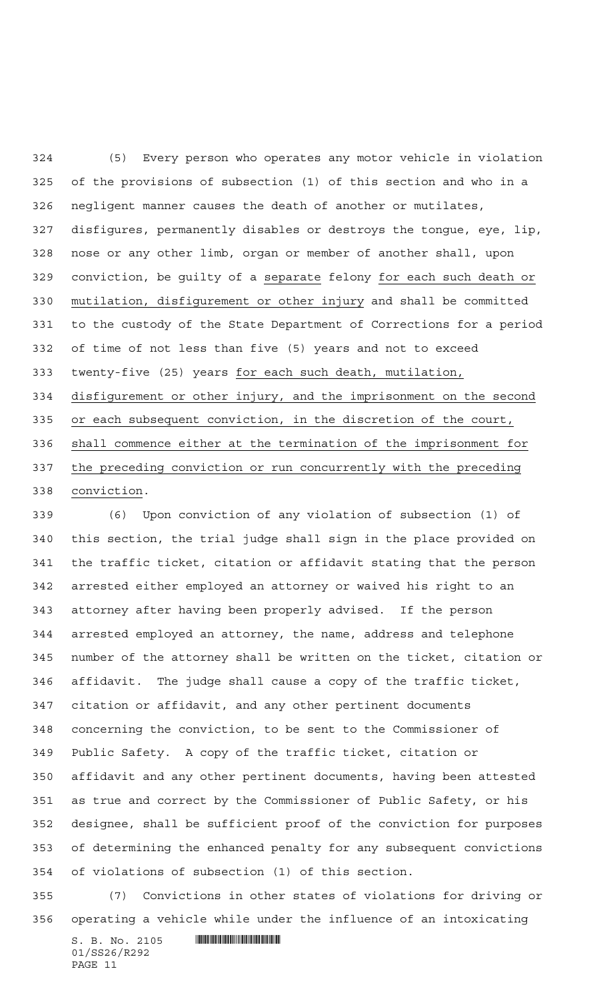(5) Every person who operates any motor vehicle in violation of the provisions of subsection (1) of this section and who in a negligent manner causes the death of another or mutilates, disfigures, permanently disables or destroys the tongue, eye, lip, nose or any other limb, organ or member of another shall, upon conviction, be guilty of a separate felony for each such death or mutilation, disfigurement or other injury and shall be committed to the custody of the State Department of Corrections for a period of time of not less than five (5) years and not to exceed twenty-five (25) years for each such death, mutilation, disfigurement or other injury, and the imprisonment on the second or each subsequent conviction, in the discretion of the court, shall commence either at the termination of the imprisonment for the preceding conviction or run concurrently with the preceding conviction.

 (6) Upon conviction of any violation of subsection (1) of this section, the trial judge shall sign in the place provided on the traffic ticket, citation or affidavit stating that the person arrested either employed an attorney or waived his right to an attorney after having been properly advised. If the person arrested employed an attorney, the name, address and telephone number of the attorney shall be written on the ticket, citation or affidavit. The judge shall cause a copy of the traffic ticket, citation or affidavit, and any other pertinent documents concerning the conviction, to be sent to the Commissioner of Public Safety. A copy of the traffic ticket, citation or affidavit and any other pertinent documents, having been attested as true and correct by the Commissioner of Public Safety, or his designee, shall be sufficient proof of the conviction for purposes of determining the enhanced penalty for any subsequent convictions of violations of subsection (1) of this section.

 (7) Convictions in other states of violations for driving or operating a vehicle while under the influence of an intoxicating

 $S. B. No. 2105$  . Suppose the set of  $S. B. N_O. 2105$ 01/SS26/R292 PAGE 11